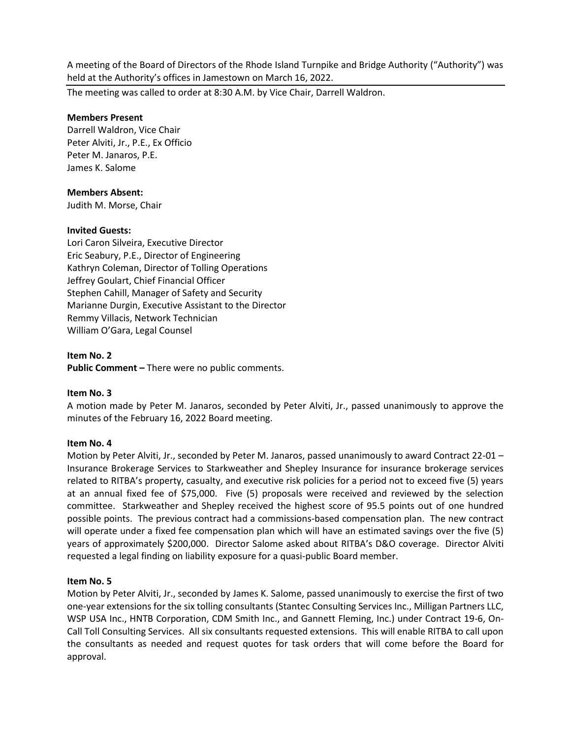A meeting of the Board of Directors of the Rhode Island Turnpike and Bridge Authority ("Authority") was held at the Authority's offices in Jamestown on March 16, 2022.

The meeting was called to order at 8:30 A.M. by Vice Chair, Darrell Waldron.

## **Members Present**

Darrell Waldron, Vice Chair Peter Alviti, Jr., P.E., Ex Officio Peter M. Janaros, P.E. James K. Salome

## **Members Absent:**

Judith M. Morse, Chair

## **Invited Guests:**

Lori Caron Silveira, Executive Director Eric Seabury, P.E., Director of Engineering Kathryn Coleman, Director of Tolling Operations Jeffrey Goulart, Chief Financial Officer Stephen Cahill, Manager of Safety and Security Marianne Durgin, Executive Assistant to the Director Remmy Villacis, Network Technician William O'Gara, Legal Counsel

## **Item No. 2**

**Public Comment –** There were no public comments.

#### **Item No. 3**

A motion made by Peter M. Janaros, seconded by Peter Alviti, Jr., passed unanimously to approve the minutes of the February 16, 2022 Board meeting.

#### **Item No. 4**

Motion by Peter Alviti, Jr., seconded by Peter M. Janaros, passed unanimously to award Contract 22-01 -Insurance Brokerage Services to Starkweather and Shepley Insurance for insurance brokerage services related to RITBA's property, casualty, and executive risk policies for a period not to exceed five (5) years at an annual fixed fee of \$75,000. Five (5) proposals were received and reviewed by the selection committee. Starkweather and Shepley received the highest score of 95.5 points out of one hundred possible points. The previous contract had a commissions-based compensation plan. The new contract will operate under a fixed fee compensation plan which will have an estimated savings over the five (5) years of approximately \$200,000. Director Salome asked about RITBA's D&O coverage. Director Alviti requested a legal finding on liability exposure for a quasi-public Board member.

#### **Item No. 5**

Motion by Peter Alviti, Jr., seconded by James K. Salome, passed unanimously to exercise the first of two one-year extensions for the six tolling consultants (Stantec Consulting Services Inc., Milligan Partners LLC, WSP USA Inc., HNTB Corporation, CDM Smith Inc., and Gannett Fleming, Inc.) under Contract 19-6, On-Call Toll Consulting Services. All six consultants requested extensions. This will enable RITBA to call upon the consultants as needed and request quotes for task orders that will come before the Board for approval.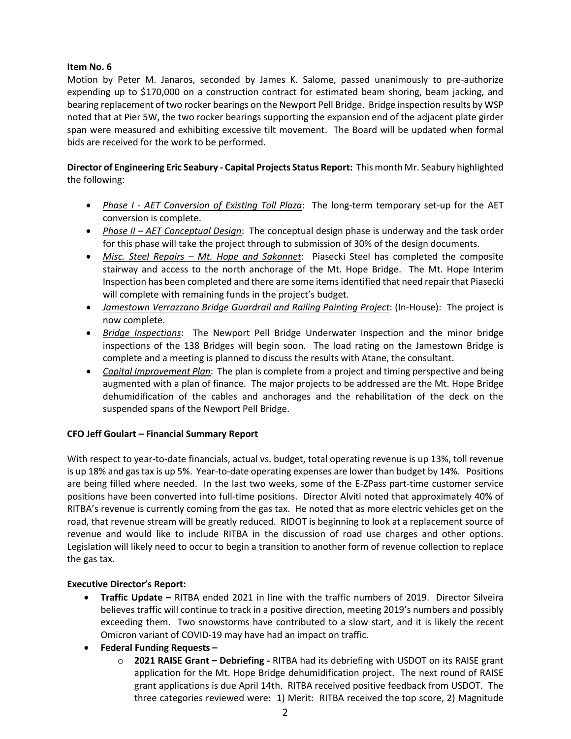# **Item No. 6**

Motion by Peter M. Janaros, seconded by James K. Salome, passed unanimously to pre-authorize expending up to \$170,000 on a construction contract for estimated beam shoring, beam jacking, and bearing replacement of two rocker bearings on the Newport Pell Bridge. Bridge inspection results by WSP noted that at Pier 5W, the two rocker bearings supporting the expansion end of the adjacent plate girder span were measured and exhibiting excessive tilt movement. The Board will be updated when formal bids are received for the work to be performed.

# **Director of Engineering Eric Seabury - Capital Projects Status Report:** This month Mr. Seabury highlighted the following:

- *Phase I - AET Conversion of Existing Toll Plaza*: The long-term temporary set-up for the AET conversion is complete.
- *Phase II – AET Conceptual Design*: The conceptual design phase is underway and the task order for this phase will take the project through to submission of 30% of the design documents.
- *Misc. Steel Repairs – Mt. Hope and Sakonnet*: Piasecki Steel has completed the composite stairway and access to the north anchorage of the Mt. Hope Bridge. The Mt. Hope Interim Inspection has been completed and there are some items identified that need repair that Piasecki will complete with remaining funds in the project's budget.
- *Jamestown Verrazzano Bridge Guardrail and Railing Painting Project*: (In-House): The project is now complete.
- *Bridge Inspections*: The Newport Pell Bridge Underwater Inspection and the minor bridge inspections of the 138 Bridges will begin soon. The load rating on the Jamestown Bridge is complete and a meeting is planned to discuss the results with Atane, the consultant.
- *Capital Improvement Plan*: The plan is complete from a project and timing perspective and being augmented with a plan of finance. The major projects to be addressed are the Mt. Hope Bridge dehumidification of the cables and anchorages and the rehabilitation of the deck on the suspended spans of the Newport Pell Bridge.

# **CFO Jeff Goulart – Financial Summary Report**

With respect to year-to-date financials, actual vs. budget, total operating revenue is up 13%, toll revenue is up 18% and gas tax is up 5%. Year-to-date operating expenses are lower than budget by 14%. Positions are being filled where needed. In the last two weeks, some of the E-ZPass part-time customer service positions have been converted into full-time positions. Director Alviti noted that approximately 40% of RITBA's revenue is currently coming from the gas tax. He noted that as more electric vehicles get on the road, that revenue stream will be greatly reduced. RIDOT is beginning to look at a replacement source of revenue and would like to include RITBA in the discussion of road use charges and other options. Legislation will likely need to occur to begin a transition to another form of revenue collection to replace the gas tax.

# **Executive Director's Report:**

- **Traffic Update –** RITBA ended 2021 in line with the traffic numbers of 2019. Director Silveira believes traffic will continue to track in a positive direction, meeting 2019's numbers and possibly exceeding them. Two snowstorms have contributed to a slow start, and it is likely the recent Omicron variant of COVID-19 may have had an impact on traffic.
- **Federal Funding Requests –**
	- o **2021 RAISE Grant – Debriefing -** RITBA had its debriefing with USDOT on its RAISE grant application for the Mt. Hope Bridge dehumidification project. The next round of RAISE grant applications is due April 14th. RITBA received positive feedback from USDOT. The three categories reviewed were: 1) Merit: RITBA received the top score, 2) Magnitude